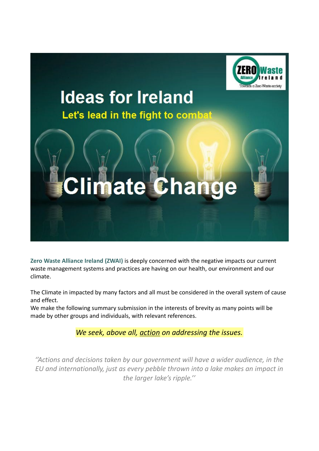

## **Ideas for Ireland** Let's lead in the fight to combat

# mate Change

**Zero Waste Alliance Ireland (ZWAI)** is deeply concerned with the negative impacts our current waste management systems and practices are having on our health, our environment and our climate.

The Climate in impacted by many factors and all must be considered in the overall system of cause and effect.

We make the following summary submission in the interests of brevity as many points will be made by other groups and individuals, with relevant references.

*We seek, above all, action on addressing the issues.*

*''Actions and decisions taken by our government will have a wider audience, in the EU and internationally, just as every pebble thrown into a lake makes an impact in the larger lake's ripple.''*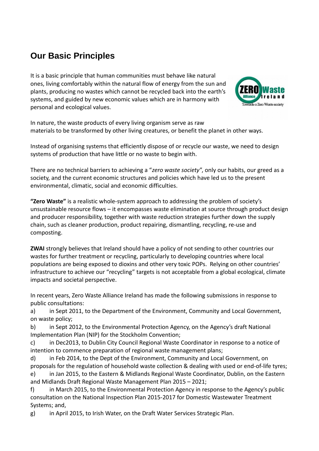### **Our Basic Principles**

It is a basic principle that human communities must behave like natural ones, living comfortably within the natural flow of energy from the sun and plants, producing no wastes which cannot be recycled back into the earth's systems, and guided by new economic values which are in harmony with personal and ecological values.



In nature, the waste products of every living organism serve as raw materials to be transformed by other living creatures, or benefit the planet in other ways.

Instead of organising systems that efficiently dispose of or recycle our waste, we need to design systems of production that have little or no waste to begin with.

There are no technical barriers to achieving a "*zero waste society*", only our habits, our greed as a society, and the current economic structures and policies which have led us to the present environmental, climatic, social and economic difficulties.

**"Zero Waste"** is a realistic whole-system approach to addressing the problem of society's unsustainable resource flows – it encompasses waste elimination at source through product design and producer responsibility, together with waste reduction strategies further down the supply chain, such as cleaner production, product repairing, dismantling, recycling, re-use and composting.

**ZWAI** strongly believes that Ireland should have a policy of not sending to other countries our wastes for further treatment or recycling, particularly to developing countries where local populations are being exposed to dioxins and other very toxic POPs. Relying on other countries' infrastructure to achieve our "recycling" targets is not acceptable from a global ecological, climate impacts and societal perspective.

In recent years, Zero Waste Alliance Ireland has made the following submissions in response to public consultations:

a) in Sept 2011, to the Department of the Environment, Community and Local Government, on waste policy;

b) in Sept 2012, to the Environmental Protection Agency, on the Agency's draft National Implementation Plan (NIP) for the Stockholm Convention;

c) in Dec2013, to Dublin City Council Regional Waste Coordinator in response to a notice of intention to commence preparation of regional waste management plans;

d) in Feb 2014, to the Dept of the Environment, Community and Local Government, on proposals for the regulation of household waste collection & dealing with used or end-of-life tyres;

e) in Jan 2015, to the Eastern & Midlands Regional Waste Coordinator, Dublin, on the Eastern and Midlands Draft Regional Waste Management Plan 2015 – 2021;

f) in March 2015, to the Environmental Protection Agency in response to the Agency's public consultation on the National Inspection Plan 2015-2017 for Domestic Wastewater Treatment Systems; and,

g) in April 2015, to Irish Water, on the Draft Water Services Strategic Plan.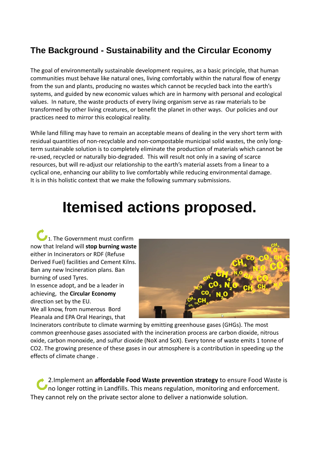#### **The Background - Sustainability and the Circular Economy**

The goal of environmentally sustainable development requires, as a basic principle, that human communities must behave like natural ones, living comfortably within the natural flow of energy from the sun and plants, producing no wastes which cannot be recycled back into the earth's systems, and guided by new economic values which are in harmony with personal and ecological values. In nature, the waste products of every living organism serve as raw materials to be transformed by other living creatures, or benefit the planet in other ways. Our policies and our practices need to mirror this ecological reality.

While land filling may have to remain an acceptable means of dealing in the very short term with residual quantities of non-recyclable and non-compostable municipal solid wastes, the only longterm sustainable solution is to completely eliminate the production of materials which cannot be re-used, recycled or naturally bio-degraded. This will result not only in a saving of scarce resources, but will re-adjust our relationship to the earth's material assets from a linear to a cyclical one, enhancing our ability to live comfortably while reducing environmental damage. It is in this holistic context that we make the following summary submissions.

## **Itemised actions proposed.**

1. The Government must confirm now that Ireland will **stop burning waste** either in Incinerators or RDF (Refuse Derived Fuel) facilities and Cement Kilns. Ban any new Incineration plans. Ban burning of used Tyres. In essence adopt, and be a leader in achieving, the **Circular Economy**  direction set by the EU. We all know, from numerous Bord Pleanala and EPA Oral Hearings, that



Incinerators contribute to climate warming by emitting greenhouse gases (GHGs). The most common greenhouse gases associated with the incineration process are carbon dioxide, nitrous oxide, carbon monoxide, and sulfur dioxide (NoX and SoX). Every tonne of waste emits 1 tonne of CO2. The growing presence of these gases in our atmosphere is a contribution in speeding up the effects of climate change .

2.Implement an **affordable Food Waste prevention strategy** to ensure Food Waste is no longer rotting in Landfills. This means regulation, monitoring and enforcement. They cannot rely on the private sector alone to deliver a nationwide solution.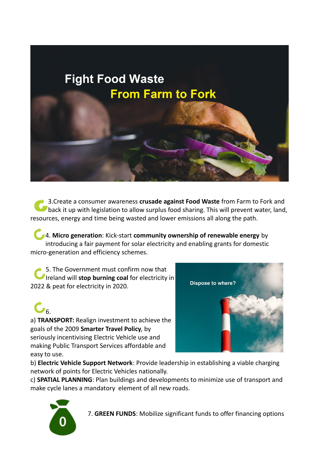## **Fight Food Waste From Farm to Fork**

3.Create a consumer awareness **crusade against Food Waste** from Farm to Fork and back it up with legislation to allow surplus food sharing. This will prevent water, land, resources, energy and time being wasted and lower emissions all along the path.

4. **Micro generation**: Kick-start **community ownership of renewable energy** by introducing a fair payment for solar electricity and enabling grants for domestic micro-generation and efficiency schemes.

5. The Government must confirm now that Ireland will **stop burning coal** for electricity in 2022 & peat for electricity in 2020.





b) **Electric Vehicle Support Network**: Provide leadership in establishing a viable charging network of points for Electric Vehicles nationally.

c) **SPATIAL PLANNING**: Plan buildings and developments to minimize use of transport and make cycle lanes a mandatory element of all new roads.

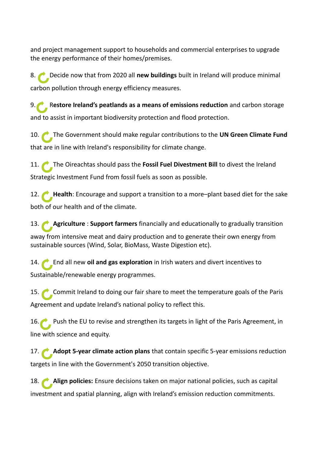and project management support to households and commercial enterprises to upgrade the energy performance of their homes/premises.

8. Decide now that from 2020 all **new buildings** built in Ireland will produce minimal carbon pollution through energy efficiency measures.

9. R**estore Ireland's peatlands as a means of emissions reduction** and carbon storage and to assist in important biodiversity protection and flood protection.

10. The Government should make regular contributions to the **UN Green Climate Fund** that are in line with Ireland's responsibility for climate change.

11. The Oireachtas should pass the **Fossil Fuel Divestment Bill** to divest the Ireland Strategic Investment Fund from fossil fuels as soon as possible.

12. **Health**: Encourage and support a transition to a more-plant based diet for the sake both of our health and of the climate.

13. **Agriculture** : **Support farmers** financially and educationally to gradually transition away from intensive meat and dairy production and to generate their own energy from sustainable sources (Wind, Solar, BioMass, Waste Digestion etc).

14. End all new **oil and gas exploration** in Irish waters and divert incentives to Sustainable/renewable energy programmes.

15. Commit Ireland to doing our fair share to meet the temperature goals of the Paris Agreement and update Ireland's national policy to reflect this.

16. Push the EU to revise and strengthen its targets in light of the Paris Agreement, in line with science and equity.

17. **Adopt 5-year climate action plans** that contain specific 5-year emissions reduction targets in line with the Government's 2050 transition objective.

18. **Align policies:** Ensure decisions taken on major national policies, such as capital investment and spatial planning, align with Ireland's emission reduction commitments.